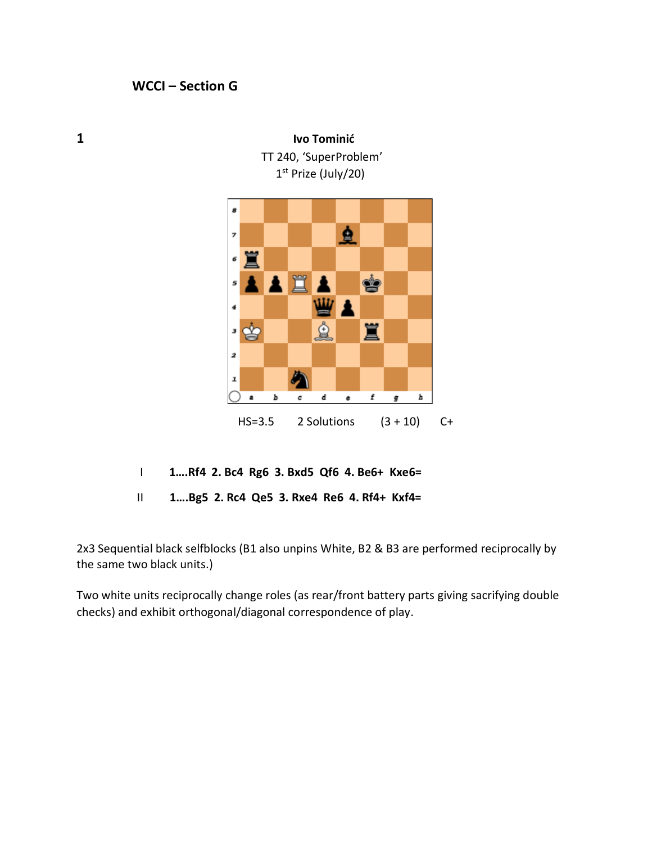## **WCCI – Section G**

1<sup>st</sup> Prize (July/20)  $\sim$  1 8 鱼 7 罝 6 買 ġ 5 Δ  $\ddot{\phantom{0}}$ ₫ 罝 • ඡු 2 9 ı  $\,$  b d  $\bullet$  $\pmb{f}$  $\pmb{h}$  $\ddot{\textbf{a}}$  $\pmb{c}$ g HS=3.5 2 Solutions (3 + 10) C+

TT 240, 'SuperProblem'

I **1….Rf4 2. Bc4 Rg6 3. Bxd5 Qf6 4. Be6+ Kxe6=**

II **1….Bg5 2. Rc4 Qe5 3. Rxe4 Re6 4. Rf4+ Kxf4=**

2x3 Sequential black selfblocks (B1 also unpins White, B2 & B3 are performed reciprocally by the same two black units.)

Two white units reciprocally change roles (as rear/front battery parts giving sacrifying double checks) and exhibit orthogonal/diagonal correspondence of play.

**1 Ivo Tominić**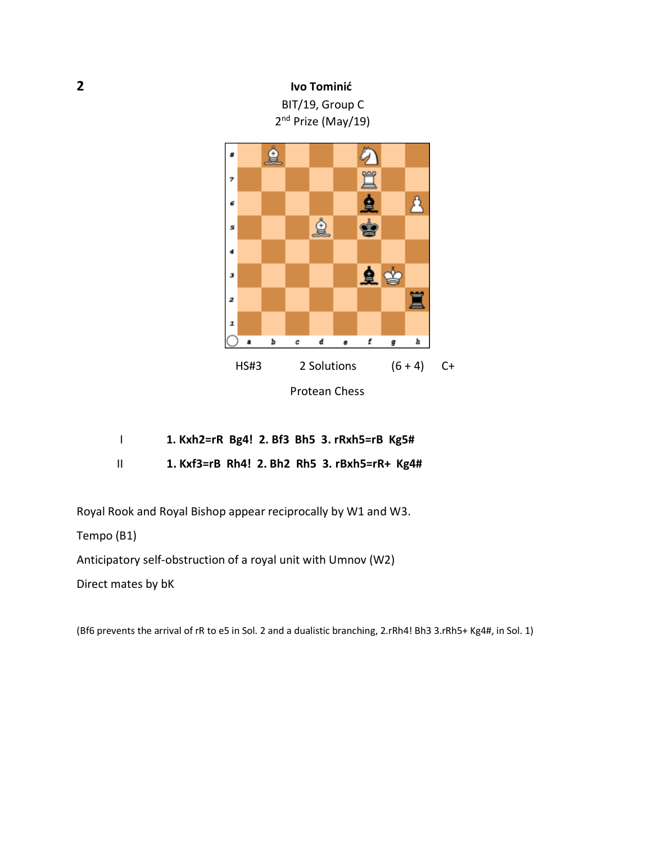



| 1. Kxh2=rR Bg4! 2. Bf3 Bh5 3. rRxh5=rB Kg5# |  |  |  |
|---------------------------------------------|--|--|--|
|                                             |  |  |  |

II **1. Kxf3=rB Rh4! 2. Bh2 Rh5 3. rBxh5=rR+ Kg4#**

Royal Rook and Royal Bishop appear reciprocally by W1 and W3.

Tempo (B1)

Anticipatory self-obstruction of a royal unit with Umnov (W2)

Direct mates by bK

(Bf6 prevents the arrival of rR to e5 in Sol. 2 and a dualistic branching, 2.rRh4! Bh3 3.rRh5+ Kg4#, in Sol. 1)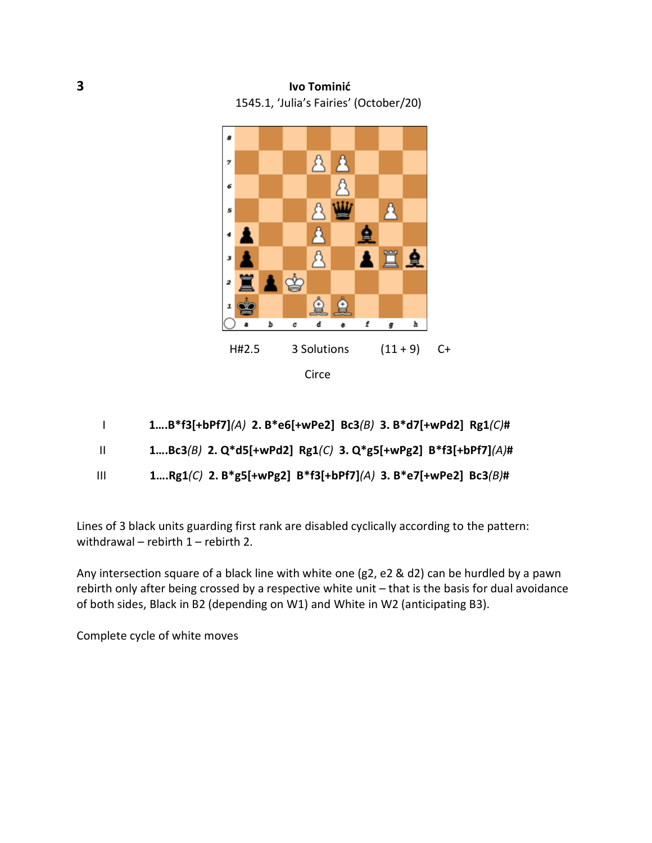**3 Ivo Tominić** 1545.1, 'Julia's Fairies' (October/20)



- I **1….B\*f3[+bPf7]***(A)* **2. B\*e6[+wPe2] Bc3***(B)* **3. B\*d7[+wPd2] Rg1***(C)***#**
- II **1….Bc3***(B)* **2. Q\*d5[+wPd2] Rg1***(C)* **3. Q\*g5[+wPg2] B\*f3[+bPf7]***(A)***#**
- III **1….Rg1***(C)* **2. B\*g5[+wPg2] B\*f3[+bPf7]***(A)* **3. B\*e7[+wPe2] Bc3***(B)***#**

Lines of 3 black units guarding first rank are disabled cyclically according to the pattern: withdrawal – rebirth 1 – rebirth 2.

Any intersection square of a black line with white one (g2, e2 & d2) can be hurdled by a pawn rebirth only after being crossed by a respective white unit – that is the basis for dual avoidance of both sides, Black in B2 (depending on W1) and White in W2 (anticipating B3).

Complete cycle of white moves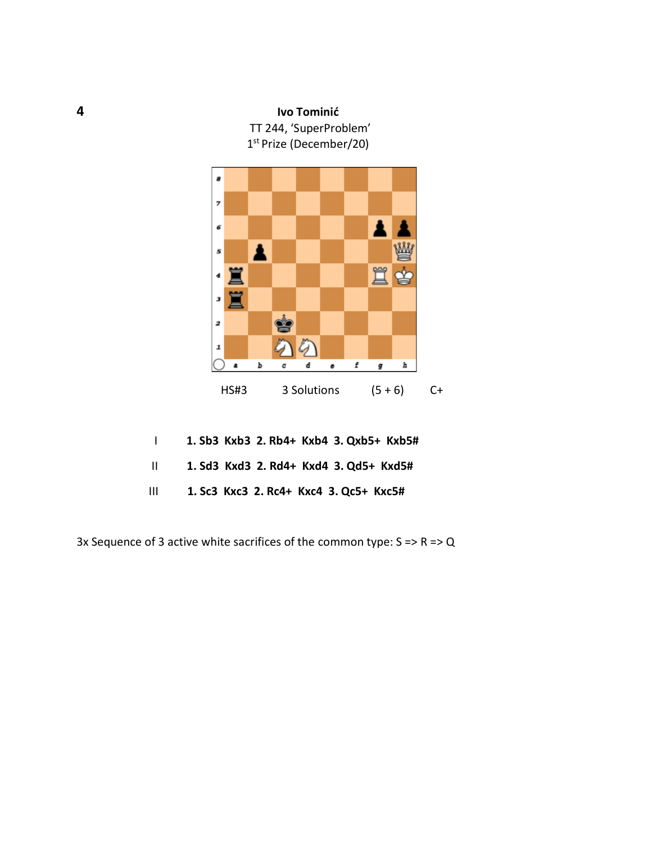

|                               | 1. Sb3 Kxb3 2. Rb4+ Kxb4 3. Qxb5+ Kxb5# |
|-------------------------------|-----------------------------------------|
| $\mathbf{H}$ and $\mathbf{H}$ | 1. Sd3 Kxd3 2. Rd4+ Kxd4 3. Qd5+ Kxd5#  |
| $\mathbf{H}$                  | 1. Sc3 Kxc3 2. Rc4+ Kxc4 3. Qc5+ Kxc5#  |

3x Sequence of 3 active white sacrifices of the common type:  $S \Rightarrow R \Rightarrow Q$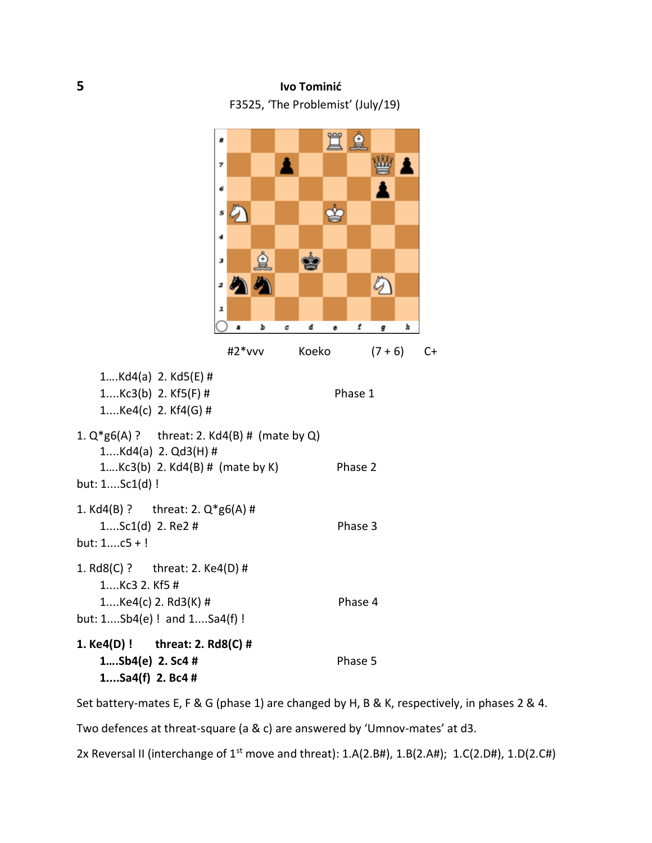## **5 Ivo Tominić** F3525, 'The Problemist' (July/19)



Set battery-mates E, F & G (phase 1) are changed by H, B & K, respectively, in phases 2 & 4.

Two defences at threat-square (a & c) are answered by 'Umnov-mates' at d3.

2x Reversal II (interchange of 1<sup>st</sup> move and threat): 1.A(2.B#), 1.B(2.A#); 1.C(2.D#), 1.D(2.C#)